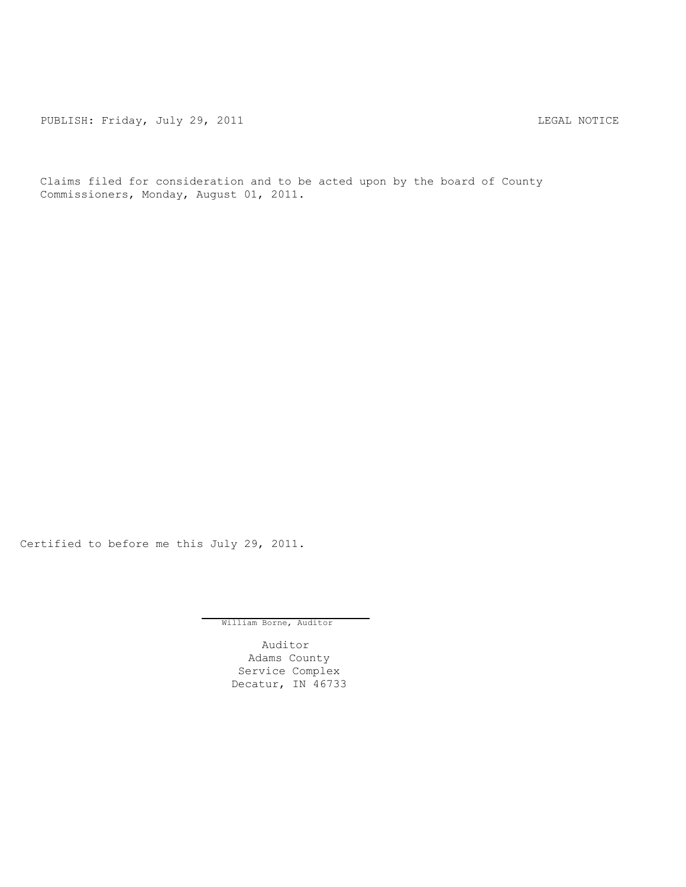PUBLISH: Friday, July 29, 2011 <br>
LEGAL NOTICE

Claims filed for consideration and to be acted upon by the board of County Commissioners, Monday, August 01, 2011.

Certified to before me this July 29, 2011.

William Borne, Auditor

Auditor Adams County Service Complex Decatur, IN 46733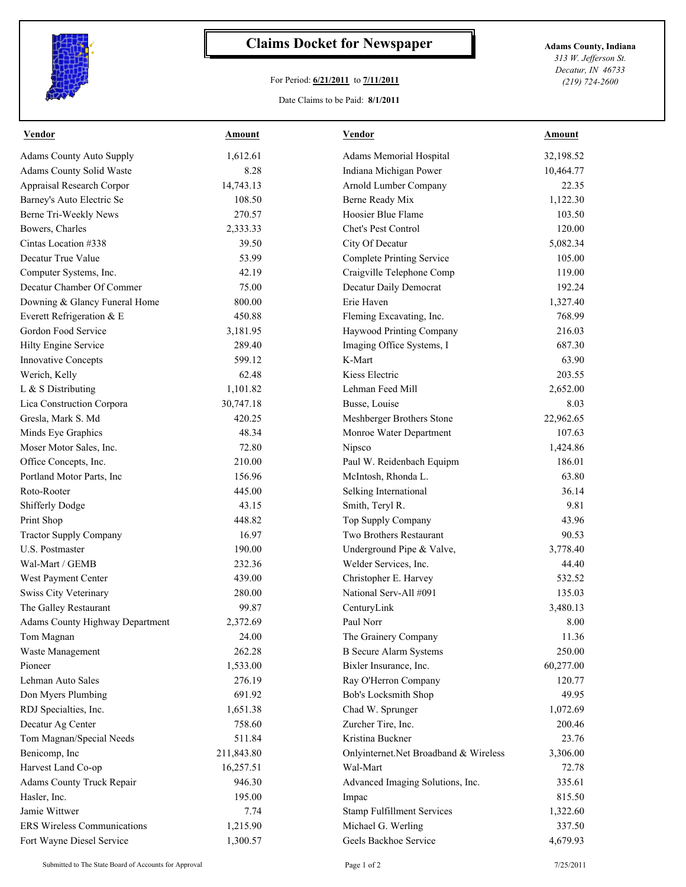

## **Claims Docket for Newspaper Adams County, Indiana**

## For Period: **6/21/2011** to **7/11/2011**

*313 W. Jefferson St. Decatur, IN 46733 (219) 724-2600*

## Date Claims to be Paid: **8/1/2011**

| <b>Vendor</b>                      | <b>Amount</b> | <b>Vendor</b>                         | Amount    |
|------------------------------------|---------------|---------------------------------------|-----------|
| <b>Adams County Auto Supply</b>    | 1,612.61      | Adams Memorial Hospital               | 32,198.52 |
| Adams County Solid Waste           | 8.28          | Indiana Michigan Power                | 10,464.77 |
| Appraisal Research Corpor          | 14,743.13     | Arnold Lumber Company                 | 22.35     |
| Barney's Auto Electric Se          | 108.50        | Berne Ready Mix                       | 1,122.30  |
| Berne Tri-Weekly News              | 270.57        | Hoosier Blue Flame                    | 103.50    |
| Bowers, Charles                    | 2,333.33      | Chet's Pest Control                   | 120.00    |
| Cintas Location #338               | 39.50         | City Of Decatur                       | 5,082.34  |
| Decatur True Value                 | 53.99         | <b>Complete Printing Service</b>      | 105.00    |
| Computer Systems, Inc.             | 42.19         | Craigville Telephone Comp             | 119.00    |
| Decatur Chamber Of Commer          | 75.00         | Decatur Daily Democrat                | 192.24    |
| Downing & Glancy Funeral Home      | 800.00        | Erie Haven                            | 1,327.40  |
| Everett Refrigeration & E          | 450.88        | Fleming Excavating, Inc.              | 768.99    |
| Gordon Food Service                | 3,181.95      | Haywood Printing Company              | 216.03    |
| Hilty Engine Service               | 289.40        | Imaging Office Systems, I             | 687.30    |
| <b>Innovative Concepts</b>         | 599.12        | K-Mart                                | 63.90     |
| Werich, Kelly                      | 62.48         | Kiess Electric                        | 203.55    |
| L & S Distributing                 | 1,101.82      | Lehman Feed Mill                      | 2,652.00  |
| Lica Construction Corpora          | 30,747.18     | Busse, Louise                         | 8.03      |
| Gresla, Mark S. Md                 | 420.25        | Meshberger Brothers Stone             | 22,962.65 |
| Minds Eye Graphics                 | 48.34         | Monroe Water Department               | 107.63    |
| Moser Motor Sales, Inc.            | 72.80         | Nipsco                                | 1,424.86  |
| Office Concepts, Inc.              | 210.00        | Paul W. Reidenbach Equipm             | 186.01    |
| Portland Motor Parts, Inc          | 156.96        | McIntosh, Rhonda L.                   | 63.80     |
| Roto-Rooter                        | 445.00        | Selking International                 | 36.14     |
| <b>Shifferly Dodge</b>             | 43.15         | Smith, Teryl R.                       | 9.81      |
| Print Shop                         | 448.82        | Top Supply Company                    | 43.96     |
| <b>Tractor Supply Company</b>      | 16.97         | Two Brothers Restaurant               | 90.53     |
| U.S. Postmaster                    | 190.00        | Underground Pipe & Valve,             | 3,778.40  |
| Wal-Mart / GEMB                    | 232.36        | Welder Services, Inc.                 | 44.40     |
| West Payment Center                | 439.00        | Christopher E. Harvey                 | 532.52    |
| Swiss City Veterinary              | 280.00        | National Serv-All #091                | 135.03    |
| The Galley Restaurant              | 99.87         | CenturyLink                           | 3,480.13  |
| Adams County Highway Department    | 2,372.69      | Paul Norr                             | 8.00      |
| Tom Magnan                         | 24.00         | The Grainery Company                  | 11.36     |
| Waste Management                   | 262.28        | <b>B</b> Secure Alarm Systems         | 250.00    |
| Pioneer                            | 1,533.00      | Bixler Insurance, Inc.                | 60,277.00 |
| Lehman Auto Sales                  | 276.19        | Ray O'Herron Company                  | 120.77    |
| Don Myers Plumbing                 | 691.92        | Bob's Locksmith Shop                  | 49.95     |
| RDJ Specialties, Inc.              | 1,651.38      | Chad W. Sprunger                      | 1,072.69  |
| Decatur Ag Center                  | 758.60        | Zurcher Tire, Inc.                    | 200.46    |
| Tom Magnan/Special Needs           | 511.84        | Kristina Buckner                      | 23.76     |
| Benicomp, Inc                      | 211,843.80    | Onlyinternet.Net Broadband & Wireless | 3,306.00  |
| Harvest Land Co-op                 | 16,257.51     | Wal-Mart                              | 72.78     |
| Adams County Truck Repair          | 946.30        | Advanced Imaging Solutions, Inc.      | 335.61    |
| Hasler, Inc.                       | 195.00        | Impac                                 | 815.50    |
| Jamie Wittwer                      | 7.74          | Stamp Fulfillment Services            | 1,322.60  |
| <b>ERS</b> Wireless Communications | 1,215.90      | Michael G. Werling                    | 337.50    |
| Fort Wayne Diesel Service          | 1,300.57      | Geels Backhoe Service                 | 4,679.93  |